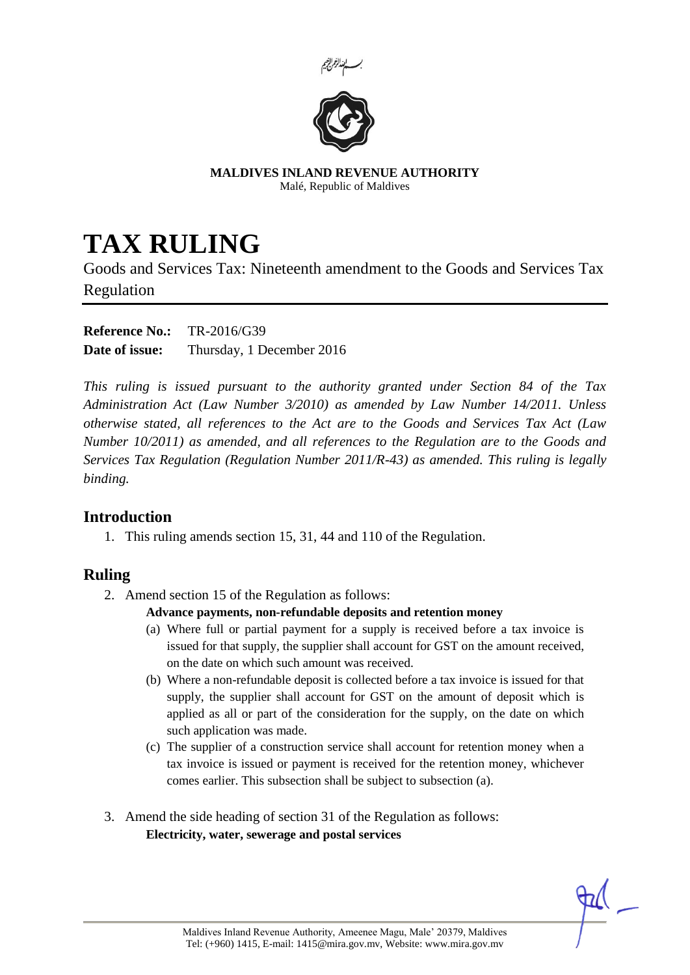



**MALDIVES INLAND REVENUE AUTHORITY** Malé, Republic of Maldives

# **TAX RULING**

Goods and Services Tax: Nineteenth amendment to the Goods and Services Tax Regulation

| <b>Reference No.:</b> | TR-2016/G39               |
|-----------------------|---------------------------|
| Date of issue:        | Thursday, 1 December 2016 |

*This ruling is issued pursuant to the authority granted under Section 84 of the Tax Administration Act (Law Number 3/2010) as amended by Law Number 14/2011. Unless otherwise stated, all references to the Act are to the Goods and Services Tax Act (Law Number 10/2011) as amended, and all references to the Regulation are to the Goods and Services Tax Regulation (Regulation Number 2011/R-43) as amended. This ruling is legally binding.*

## **Introduction**

1. This ruling amends section 15, 31, 44 and 110 of the Regulation.

## **Ruling**

2. Amend section 15 of the Regulation as follows:

#### **Advance payments, non-refundable deposits and retention money**

- (a) Where full or partial payment for a supply is received before a tax invoice is issued for that supply, the supplier shall account for GST on the amount received, on the date on which such amount was received.
- (b) Where a non-refundable deposit is collected before a tax invoice is issued for that supply, the supplier shall account for GST on the amount of deposit which is applied as all or part of the consideration for the supply, on the date on which such application was made.
- (c) The supplier of a construction service shall account for retention money when a tax invoice is issued or payment is received for the retention money, whichever comes earlier. This subsection shall be subject to subsection (a).
- 3. Amend the side heading of section 31 of the Regulation as follows: **Electricity, water, sewerage and postal services**